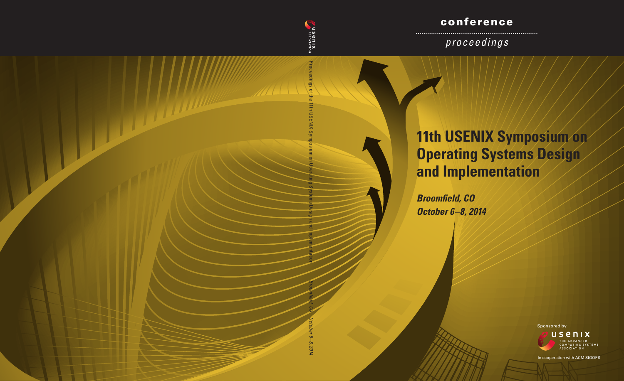# conference

*proceedings*

# **11th USENIX Symposium on Operating Systems Design and Implementation**

*Broomfield, CO October 6–8, 2014*

Proceedings of the 11th USENIX Symposium on Operating Systems Design and Implementation

**EXAMPLE DIX** 

ings of

<u> Hillille The Time State of the Time State of the Time State of the Time State of the Time State of the Time State of the Time State of the Time State of the Time State of the Time State of the Time State of the Time Stat</u>



*Broomfield, CO October 6–8, 2014*

Sponsored by



In cooperation with ACM SIGOPS